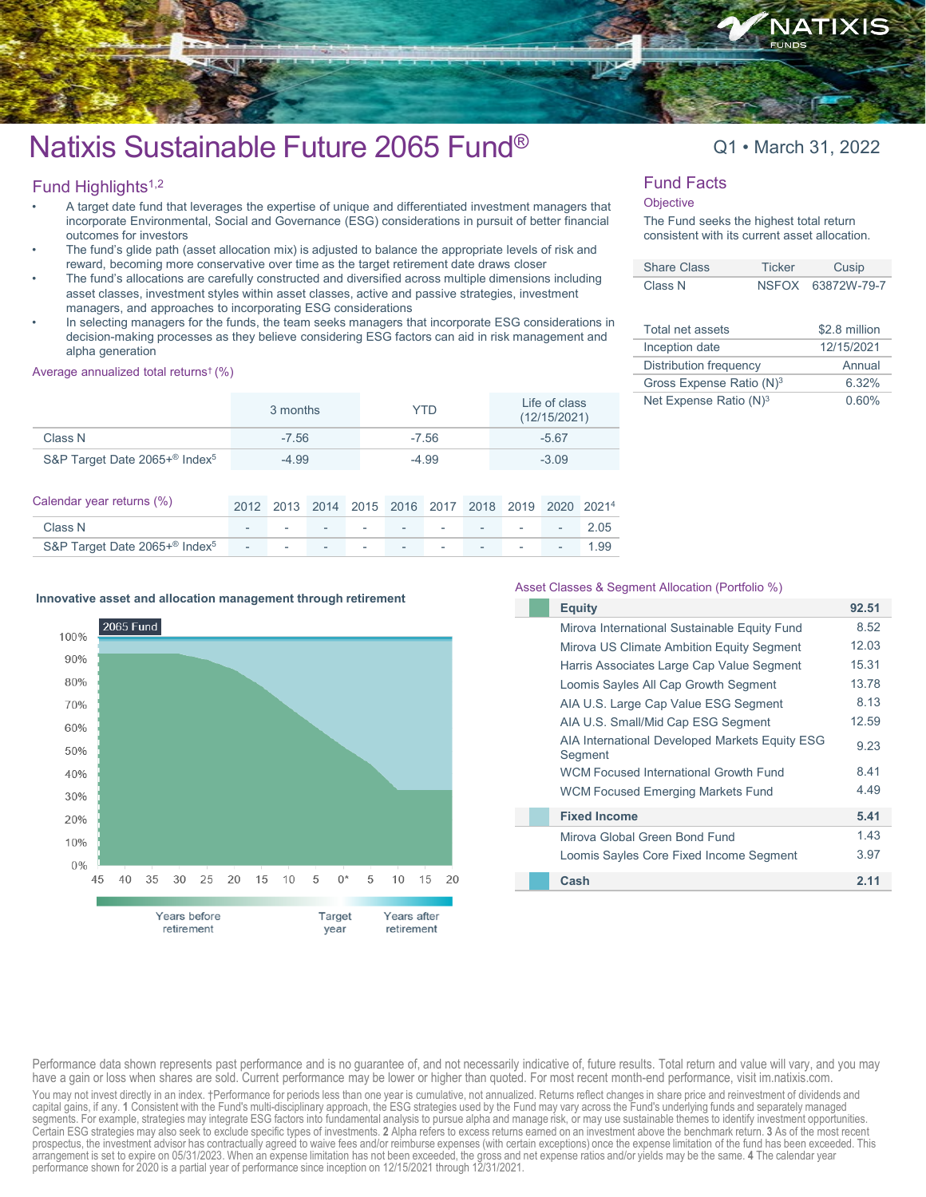

# Natixis Sustainable Future 2065 Fund<sup>®</sup> Q1 • March 31, 2022

### Fund Highlights $1,2$

- A target date fund that leverages the expertise of unique and differentiated investment managers that incorporate Environmental, Social and Governance (ESG) considerations in pursuit of better financial outcomes for investors
- The fund's glide path (asset allocation mix) is adjusted to balance the appropriate levels of risk and reward, becoming more conservative over time as the target retirement date draws closer
- The fund's allocations are carefully constructed and diversified across multiple dimensions including asset classes, investment styles within asset classes, active and passive strategies, investment managers, and approaches to incorporating ESG considerations
- In selecting managers for the funds, the team seeks managers that incorporate ESG considerations in decision-making processes as they believe considering ESG factors can aid in risk management and alpha generation

#### Average annualized total returns† (%)

|                                           | 3 months | YTD     | Life of class<br>(12/15/2021) |
|-------------------------------------------|----------|---------|-------------------------------|
| Class N                                   | $-7.56$  | $-7.56$ | $-5.67$                       |
| S&P Target Date 2065+® Index <sup>5</sup> | $-4.99$  | $-4.99$ | $-3.09$                       |

| Calendar year returns (%)                 |              |  |  | 2012 2013 2014 2015 2016 2017 2018 2019 2020 20214 |  |  |
|-------------------------------------------|--------------|--|--|----------------------------------------------------|--|--|
| Class N                                   |              |  |  | $         2.05$                                    |  |  |
| S&P Target Date 2065+® Index <sup>5</sup> | <u>. 199</u> |  |  |                                                    |  |  |

#### Asset Classes & Segment Allocation (Portfolio %)

| <b>Equity</b>                                             | 92.51 |
|-----------------------------------------------------------|-------|
| Mirova International Sustainable Equity Fund              | 8.52  |
| Mirova US Climate Ambition Equity Segment                 | 12.03 |
| Harris Associates Large Cap Value Segment                 | 15.31 |
| Loomis Sayles All Cap Growth Segment                      | 13.78 |
| AIA U.S. Large Cap Value ESG Segment                      | 8.13  |
| AIA U.S. Small/Mid Cap ESG Segment                        | 12.59 |
| AIA International Developed Markets Equity ESG<br>Segment | 9.23  |
| <b>WCM Focused International Growth Fund</b>              | 8.41  |
| <b>WCM Focused Emerging Markets Fund</b>                  | 4.49  |
| <b>Fixed Income</b>                                       | 5.41  |
| Mirova Global Green Bond Fund                             | 1.43  |
| Loomis Sayles Core Fixed Income Segment                   | 3.97  |
| Cash                                                      | 2.11  |

#### **Innovative asset and allocation management through retirement**



Performance data shown represents past performance and is no guarantee of, and not necessarily indicative of, future results. Total return and value will vary, and you may have a gain or loss when shares are sold. Current performance may be lower or higher than quoted. For most recent month-end performance, visit im.natixis.com. You may not invest directly in an index. †Performance for periods less than one year is cumulative, not annualized. Returns reflect changes in share price and reinvestment of dividends and capital gains, if any. 1 Consistent with the Fund's multi-disciplinary approach, the ESG strategies used by the Fund may vary across the Fund's underlying funds and separately managed<br>segments. For example, strategies may Certain ESG strategies may also seek to exclude specific types of investments. **2** Alpha refers to excess returns earned on an investment above the benchmark return. **3** As of the most recent prospectus, the investment advisor has contractually agreed to waive fees and/or reimburse expenses (with certain exceptions) once the expense limitation of the fund has been exceeded. This arrangement is set to expire on 05/31/2023. When an expense limitation has not been exceeded, the gross and net expense ratios and/or yields may be the same. **4** The calendar year performance shown for 2020 is a partial year of performance since inception on 12/15/2021 through 12/31/2021.

#### Fund Facts

#### **Objective**

The Fund seeks the highest total return consistent with its current asset allocation.

| <b>Share Class</b> | Ticker | Cusip             |
|--------------------|--------|-------------------|
| Class N            |        | NSFOX 63872W-79-7 |

| Total net assets                     | \$2.8 million |
|--------------------------------------|---------------|
| Inception date                       | 12/15/2021    |
| <b>Distribution frequency</b>        | Annual        |
| Gross Expense Ratio (N) <sup>3</sup> | 6.32%         |
| Net Expense Ratio (N) <sup>3</sup>   | 0 60%         |